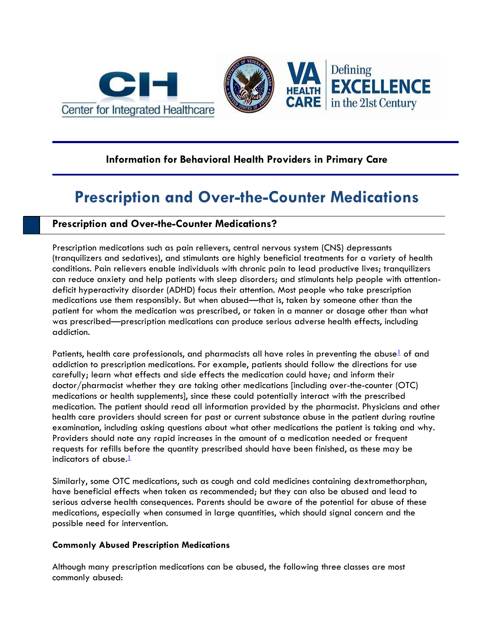



# **Information for Behavioral Health Providers in Primary Care**

# **Prescription and Over-the-Counter Medications**

## **Prescription and Over-the-Counter Medications?**

Prescription medications such as pain relievers, central nervous system (CNS) depressants (tranquilizers and sedatives), and stimulants are highly beneficial treatments for a variety of health conditions. Pain relievers enable individuals with chronic pain to lead productive lives; tranquilizers can reduce anxiety and help patients with sleep disorders; and stimulants help people with attentiondeficit hyperactivity disorder (ADHD) focus their attention. Most people who take prescription medications use them responsibly. But when abused—that is, taken by someone other than the patient for whom the medication was prescribed, or taken in a manner or dosage other than what was prescribed—prescription medications can produce serious adverse health effects, including addiction.

Patients, health care professionals, and pharmacists all have roles in preventing the abuse<sup>[1](http://www.drugabuse.gov/infofacts/PainMed.html#Anchor-11481)</sup> of and addiction to prescription medications. For example, patients should follow the directions for use carefully; learn what effects and side effects the medication could have; and inform their doctor/pharmacist whether they are taking other medications [including over-the-counter (OTC) medications or health supplements], since these could potentially interact with the prescribed medication. The patient should read all information provided by the pharmacist. Physicians and other health care providers should screen for past or current substance abuse in the patient during routine examination, including asking questions about what other medications the patient is taking and why. Providers should note any rapid increases in the amount of a medication needed or frequent requests for refills before the quantity prescribed should have been finished, as these may be indicators of abuse. $\frac{1}{2}$  $\frac{1}{2}$  $\frac{1}{2}$ 

Similarly, some OTC medications, such as cough and cold medicines containing dextromethorphan, have beneficial effects when taken as recommended; but they can also be abused and lead to serious adverse health consequences. Parents should be aware of the potential for abuse of these medications, especially when consumed in large quantities, which should signal concern and the possible need for intervention.

## **Commonly Abused Prescription Medications**

Although many prescription medications can be abused, the following three classes are most commonly abused: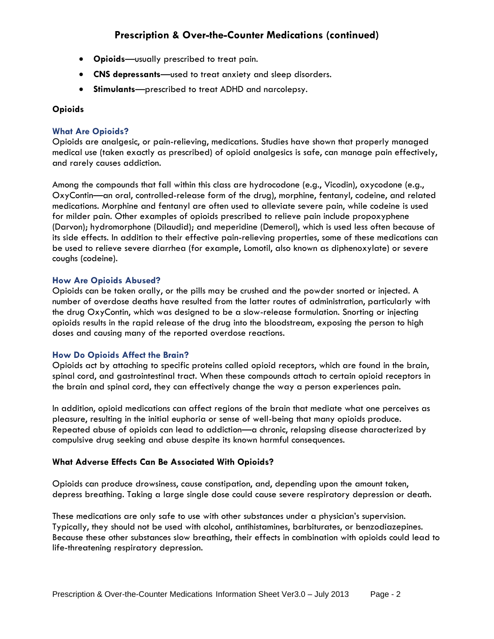- **Opioids**—usually prescribed to treat pain.
- **CNS depressants**—used to treat anxiety and sleep disorders.
- **Stimulants**—prescribed to treat ADHD and narcolepsy.

## **Opioids**

#### **What Are Opioids?**

Opioids are analgesic, or pain-relieving, medications. Studies have shown that properly managed medical use (taken exactly as prescribed) of opioid analgesics is safe, can manage pain effectively, and rarely causes addiction.

Among the compounds that fall within this class are hydrocodone (e.g., Vicodin), oxycodone (e.g., OxyContin—an oral, controlled-release form of the drug), morphine, fentanyl, codeine, and related medications. Morphine and fentanyl are often used to alleviate severe pain, while codeine is used for milder pain. Other examples of opioids prescribed to relieve pain include propoxyphene (Darvon); hydromorphone (Dilaudid); and meperidine (Demerol), which is used less often because of its side effects. In addition to their effective pain-relieving properties, some of these medications can be used to relieve severe diarrhea (for example, Lomotil, also known as diphenoxylate) or severe coughs (codeine).

#### **How Are Opioids Abused?**

Opioids can be taken orally, or the pills may be crushed and the powder snorted or injected. A number of overdose deaths have resulted from the latter routes of administration, particularly with the drug OxyContin, which was designed to be a slow-release formulation. Snorting or injecting opioids results in the rapid release of the drug into the bloodstream, exposing the person to high doses and causing many of the reported overdose reactions.

#### **How Do Opioids Affect the Brain?**

Opioids act by attaching to specific proteins called opioid receptors, which are found in the brain, spinal cord, and gastrointestinal tract. When these compounds attach to certain opioid receptors in the brain and spinal cord, they can effectively change the way a person experiences pain.

In addition, opioid medications can affect regions of the brain that mediate what one perceives as pleasure, resulting in the initial euphoria or sense of well-being that many opioids produce. Repeated abuse of opioids can lead to addiction—a chronic, relapsing disease characterized by compulsive drug seeking and abuse despite its known harmful consequences.

## **What Adverse Effects Can Be Associated With Opioids?**

Opioids can produce drowsiness, cause constipation, and, depending upon the amount taken, depress breathing. Taking a large single dose could cause severe respiratory depression or death.

These medications are only safe to use with other substances under a physician's supervision. Typically, they should not be used with alcohol, antihistamines, barbiturates, or benzodiazepines. Because these other substances slow breathing, their effects in combination with opioids could lead to life-threatening respiratory depression.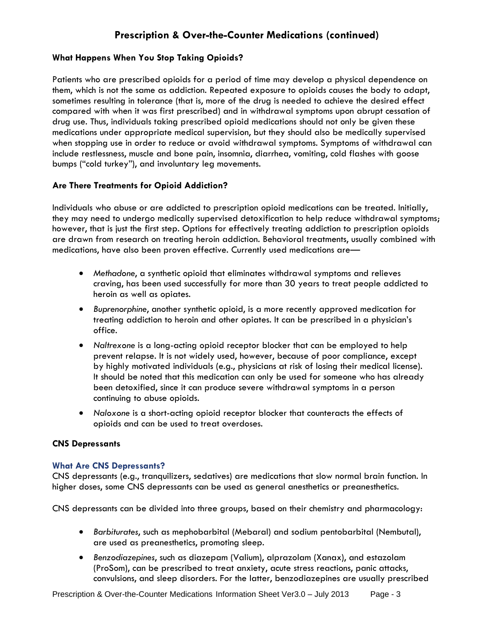## **What Happens When You Stop Taking Opioids?**

Patients who are prescribed opioids for a period of time may develop a physical dependence on them, which is not the same as addiction. Repeated exposure to opioids causes the body to adapt, sometimes resulting in tolerance (that is, more of the drug is needed to achieve the desired effect compared with when it was first prescribed) and in withdrawal symptoms upon abrupt cessation of drug use. Thus, individuals taking prescribed opioid medications should not only be given these medications under appropriate medical supervision, but they should also be medically supervised when stopping use in order to reduce or avoid withdrawal symptoms. Symptoms of withdrawal can include restlessness, muscle and bone pain, insomnia, diarrhea, vomiting, cold flashes with goose bumps ("cold turkey"), and involuntary leg movements.

## **Are There Treatments for Opioid Addiction?**

Individuals who abuse or are addicted to prescription opioid medications can be treated. Initially, they may need to undergo medically supervised detoxification to help reduce withdrawal symptoms; however, that is just the first step. Options for effectively treating addiction to prescription opioids are drawn from research on treating heroin addiction. Behavioral treatments, usually combined with medications, have also been proven effective. Currently used medications are—

- *Methadone*, a synthetic opioid that eliminates withdrawal symptoms and relieves craving, has been used successfully for more than 30 years to treat people addicted to heroin as well as opiates.
- *Buprenorphine*, another synthetic opioid, is a more recently approved medication for treating addiction to heroin and other opiates. It can be prescribed in a physician's office.
- *Naltrexone* is a long-acting opioid receptor blocker that can be employed to help prevent relapse. It is not widely used, however, because of poor compliance, except by highly motivated individuals (e.g., physicians at risk of losing their medical license). It should be noted that this medication can only be used for someone who has already been detoxified, since it can produce severe withdrawal symptoms in a person continuing to abuse opioids.
- *Naloxone* is a short-acting opioid receptor blocker that counteracts the effects of opioids and can be used to treat overdoses.

## **CNS Depressants**

#### **What Are CNS Depressants?**

CNS depressants (e.g., tranquilizers, sedatives) are medications that slow normal brain function. In higher doses, some CNS depressants can be used as general anesthetics or preanesthetics.

CNS depressants can be divided into three groups, based on their chemistry and pharmacology:

- *Barbiturates*, such as mephobarbital (Mebaral) and sodium pentobarbital (Nembutal), are used as preanesthetics, promoting sleep.
- *Benzodiazepines*, such as diazepam (Valium), alprazolam (Xanax), and estazolam (ProSom), can be prescribed to treat anxiety, acute stress reactions, panic attacks, convulsions, and sleep disorders. For the latter, benzodiazepines are usually prescribed

Prescription & Over-the-Counter Medications Information Sheet Ver3.0 – July 2013 Page - 3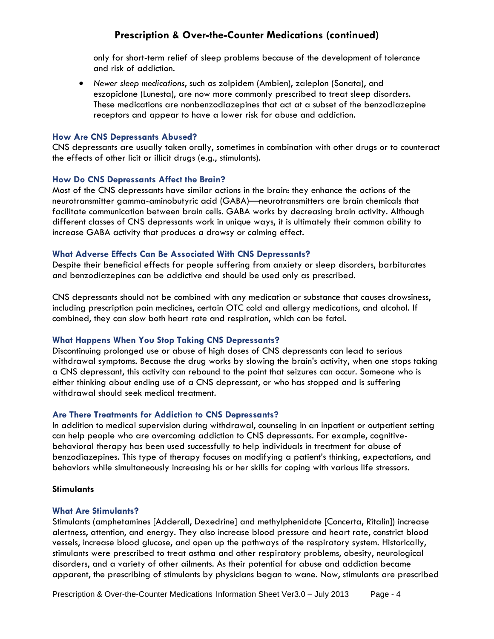only for short-term relief of sleep problems because of the development of tolerance and risk of addiction.

 *Newer sleep medications*, such as zolpidem (Ambien), zaleplon (Sonata), and eszopiclone (Lunesta), are now more commonly prescribed to treat sleep disorders. These medications are nonbenzodiazepines that act at a subset of the benzodiazepine receptors and appear to have a lower risk for abuse and addiction.

#### **How Are CNS Depressants Abused?**

CNS depressants are usually taken orally, sometimes in combination with other drugs or to counteract the effects of other licit or illicit drugs (e.g., stimulants).

#### **How Do CNS Depressants Affect the Brain?**

Most of the CNS depressants have similar actions in the brain: they enhance the actions of the neurotransmitter gamma-aminobutyric acid (GABA)—neurotransmitters are brain chemicals that facilitate communication between brain cells. GABA works by decreasing brain activity. Although different classes of CNS depressants work in unique ways, it is ultimately their common ability to increase GABA activity that produces a drowsy or calming effect.

#### **What Adverse Effects Can Be Associated With CNS Depressants?**

Despite their beneficial effects for people suffering from anxiety or sleep disorders, barbiturates and benzodiazepines can be addictive and should be used only as prescribed.

CNS depressants should not be combined with any medication or substance that causes drowsiness, including prescription pain medicines, certain OTC cold and allergy medications, and alcohol. If combined, they can slow both heart rate and respiration, which can be fatal.

#### **What Happens When You Stop Taking CNS Depressants?**

Discontinuing prolonged use or abuse of high doses of CNS depressants can lead to serious withdrawal symptoms. Because the drug works by slowing the brain's activity, when one stops taking a CNS depressant, this activity can rebound to the point that seizures can occur. Someone who is either thinking about ending use of a CNS depressant, or who has stopped and is suffering withdrawal should seek medical treatment.

#### **Are There Treatments for Addiction to CNS Depressants?**

In addition to medical supervision during withdrawal, counseling in an inpatient or outpatient setting can help people who are overcoming addiction to CNS depressants. For example, cognitivebehavioral therapy has been used successfully to help individuals in treatment for abuse of benzodiazepines. This type of therapy focuses on modifying a patient's thinking, expectations, and behaviors while simultaneously increasing his or her skills for coping with various life stressors.

#### **Stimulants**

#### **What Are Stimulants?**

Stimulants (amphetamines [Adderall, Dexedrine] and methylphenidate [Concerta, Ritalin]) increase alertness, attention, and energy. They also increase blood pressure and heart rate, constrict blood vessels, increase blood glucose, and open up the pathways of the respiratory system. Historically, stimulants were prescribed to treat asthma and other respiratory problems, obesity, neurological disorders, and a variety of other ailments. As their potential for abuse and addiction became apparent, the prescribing of stimulants by physicians began to wane. Now, stimulants are prescribed

Prescription & Over-the-Counter Medications Information Sheet Ver3.0 – July 2013 Page - 4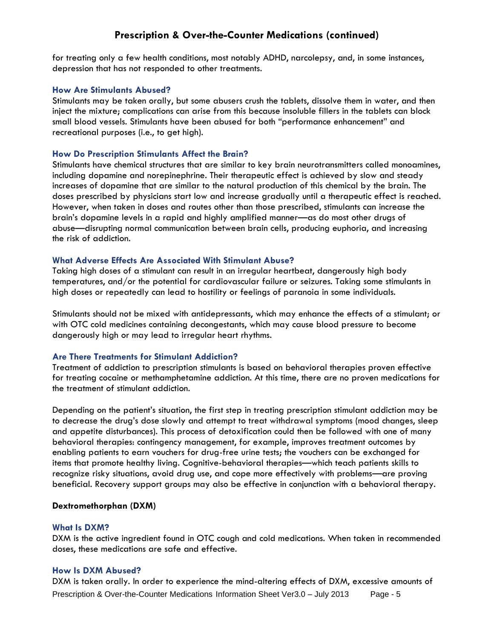for treating only a few health conditions, most notably ADHD, narcolepsy, and, in some instances, depression that has not responded to other treatments.

#### **How Are Stimulants Abused?**

Stimulants may be taken orally, but some abusers crush the tablets, dissolve them in water, and then inject the mixture; complications can arise from this because insoluble fillers in the tablets can block small blood vessels. Stimulants have been abused for both "performance enhancement" and recreational purposes (i.e., to get high).

#### **How Do Prescription Stimulants Affect the Brain?**

Stimulants have chemical structures that are similar to key brain neurotransmitters called monoamines, including dopamine and norepinephrine. Their therapeutic effect is achieved by slow and steady increases of dopamine that are similar to the natural production of this chemical by the brain. The doses prescribed by physicians start low and increase gradually until a therapeutic effect is reached. However, when taken in doses and routes other than those prescribed, stimulants can increase the brain's dopamine levels in a rapid and highly amplified manner—as do most other drugs of abuse—disrupting normal communication between brain cells, producing euphoria, and increasing the risk of addiction.

#### **What Adverse Effects Are Associated With Stimulant Abuse?**

Taking high doses of a stimulant can result in an irregular heartbeat, dangerously high body temperatures, and/or the potential for cardiovascular failure or seizures. Taking some stimulants in high doses or repeatedly can lead to hostility or feelings of paranoia in some individuals.

Stimulants should not be mixed with antidepressants, which may enhance the effects of a stimulant; or with OTC cold medicines containing decongestants, which may cause blood pressure to become dangerously high or may lead to irregular heart rhythms.

#### **Are There Treatments for Stimulant Addiction?**

Treatment of addiction to prescription stimulants is based on behavioral therapies proven effective for treating cocaine or methamphetamine addiction. At this time, there are no proven medications for the treatment of stimulant addiction.

Depending on the patient's situation, the first step in treating prescription stimulant addiction may be to decrease the drug's dose slowly and attempt to treat withdrawal symptoms (mood changes, sleep and appetite disturbances). This process of detoxification could then be followed with one of many behavioral therapies: contingency management, for example, improves treatment outcomes by enabling patients to earn vouchers for drug-free urine tests; the vouchers can be exchanged for items that promote healthy living. Cognitive-behavioral therapies—which teach patients skills to recognize risky situations, avoid drug use, and cope more effectively with problems—are proving beneficial. Recovery support groups may also be effective in conjunction with a behavioral therapy.

#### **Dextromethorphan (DXM)**

#### **What Is DXM?**

DXM is the active ingredient found in OTC cough and cold medications. When taken in recommended doses, these medications are safe and effective.

#### **How Is DXM Abused?**

Prescription & Over-the-Counter Medications Information Sheet Ver3.0 – July 2013 Page - 5 DXM is taken orally. In order to experience the mind-altering effects of DXM, excessive amounts of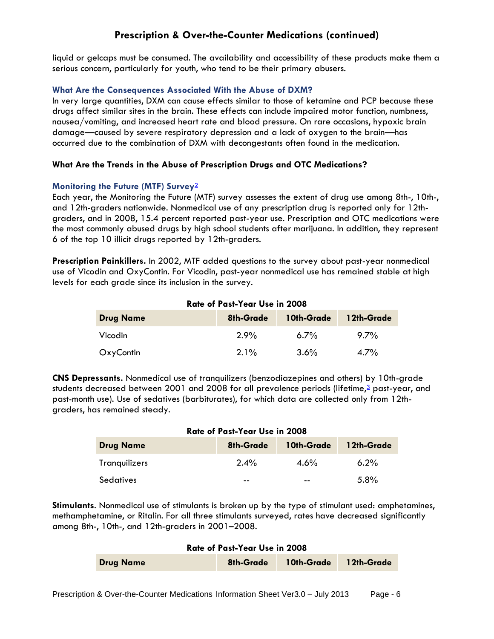liquid or gelcaps must be consumed. The availability and accessibility of these products make them a serious concern, particularly for youth, who tend to be their primary abusers.

## **What Are the Consequences Associated With the Abuse of DXM?**

In very large quantities, DXM can cause effects similar to those of ketamine and PCP because these drugs affect similar sites in the brain. These effects can include impaired motor function, numbness, nausea/vomiting, and increased heart rate and blood pressure. On rare occasions, hypoxic brain damage—caused by severe respiratory depression and a lack of oxygen to the brain—has occurred due to the combination of DXM with decongestants often found in the medication.

### **What Are the Trends in the Abuse of Prescription Drugs and OTC Medications?**

#### **Monitoring the Future (MTF) Survey**[2](http://www.drugabuse.gov/infofacts/PainMed.html#Anchor-11481)

Each year, the Monitoring the Future (MTF) survey assesses the extent of drug use among 8th-, 10th-, and 12th-graders nationwide. Nonmedical use of any prescription drug is reported only for 12thgraders, and in 2008, 15.4 percent reported past-year use. Prescription and OTC medications were the most commonly abused drugs by high school students after marijuana. In addition, they represent 6 of the top 10 illicit drugs reported by 12th-graders.

**Prescription Painkillers.** In 2002, MTF added questions to the survey about past-year nonmedical use of Vicodin and OxyContin. For Vicodin, past-year nonmedical use has remained stable at high levels for each grade since its inclusion in the survey.

| Rate of Past-Year Use in 2008 |                  |            |            |
|-------------------------------|------------------|------------|------------|
| <b>Drug Name</b>              | <b>8th-Grade</b> | 10th-Grade | 12th-Grade |
| Vicodin                       | $2.9\%$          | $6.7\%$    | $9.7\%$    |
| OxyContin                     | $2.1\%$          | $3.6\%$    | $4.7\%$    |

**Rate of Past-Year Use in 2008**

**CNS Depressants.** Nonmedical use of tranquilizers (benzodiazepines and others) by 10th-grade students decreased between 2001 and 2008 for all prevalence periods (lifetime,<sup>[3](http://www.drugabuse.gov/infofacts/PainMed.html#Anchor-11481)</sup> past-year, and past-month use). Use of sedatives (barbiturates), for which data are collected only from 12thgraders, has remained steady.

| <b>Rate of Past-Year Use in 2008</b> |           |            |            |
|--------------------------------------|-----------|------------|------------|
| <b>Drug Name</b>                     | 8th-Grade | 10th-Grade | 12th-Grade |
| Tranquilizers                        | $2.4\%$   | $4.6\%$    | $6.2\%$    |
| <b>Sedatives</b>                     | --        | --         | $5.8\%$    |

**Stimulants**. Nonmedical use of stimulants is broken up by the type of stimulant used: amphetamines, methamphetamine, or Ritalin. For all three stimulants surveyed, rates have decreased significantly among 8th-, 10th-, and 12th-graders in 2001–2008.

| <b>Rate of Past-Year Use in 2008</b> |           |            |            |
|--------------------------------------|-----------|------------|------------|
| <b>Drug Name</b>                     | 8th-Grade | 10th-Grade | 12th-Grade |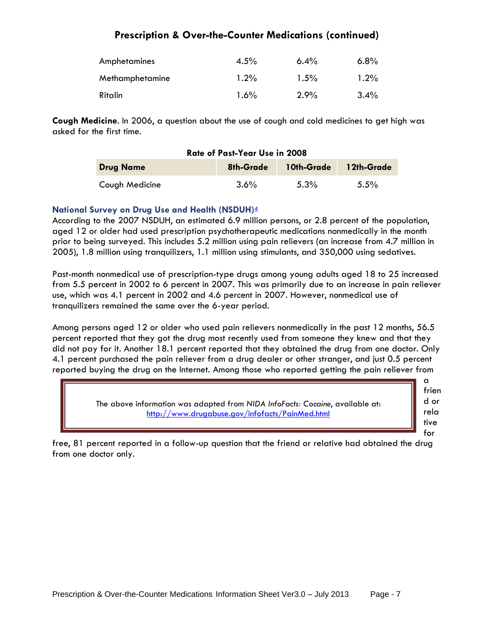| Amphetamines    | $4.5\%$ | $6.4\%$ | $6.8\%$ |
|-----------------|---------|---------|---------|
| Methamphetamine | $1.2\%$ | $1.5\%$ | $1.2\%$ |
| Ritalin         | $1.6\%$ | $2.9\%$ | $3.4\%$ |

**Cough Medicine**. In 2006, a question about the use of cough and cold medicines to get high was asked for the first time.

| <b>Rate of Past-Year Use in 2008</b> |           |            |            |
|--------------------------------------|-----------|------------|------------|
| <b>Drug Name</b>                     | 8th-Grade | 10th-Grade | 12th-Grade |
| Cough Medicine                       | $3.6\%$   | $5.3\%$    | $5.5\%$    |

## **National Survey on Drug Use and Health (NSDUH)**[4](http://www.drugabuse.gov/infofacts/PainMed.html#Anchor-11481)

According to the 2007 NSDUH, an estimated 6.9 million persons, or 2.8 percent of the population, aged 12 or older had used prescription psychotherapeutic medications nonmedically in the month prior to being surveyed. This includes 5.2 million using pain relievers (an increase from 4.7 million in 2005), 1.8 million using tranquilizers, 1.1 million using stimulants, and 350,000 using sedatives.

Past-month nonmedical use of prescription-type drugs among young adults aged 18 to 25 increased from 5.5 percent in 2002 to 6 percent in 2007. This was primarily due to an increase in pain reliever use, which was 4.1 percent in 2002 and 4.6 percent in 2007. However, nonmedical use of tranquilizers remained the same over the 6-year period.

Among persons aged 12 or older who used pain relievers nonmedically in the past 12 months, 56.5 percent reported that they got the drug most recently used from someone they knew and that they did not pay for it. Another 18.1 percent reported that they obtained the drug from one doctor. Only 4.1 percent purchased the pain reliever from a drug dealer or other stranger, and just 0.5 percent reported buying the drug on the Internet. Among those who reported getting the pain reliever from

> The above information was adapted from *NIDA InfoFacts: Cocaine*, available at: <http://www.drugabuse.gov/infofacts/PainMed.html>

a frien d or rela tive for

free, 81 percent reported in a follow-up question that the friend or relative had obtained the drug from one doctor only.